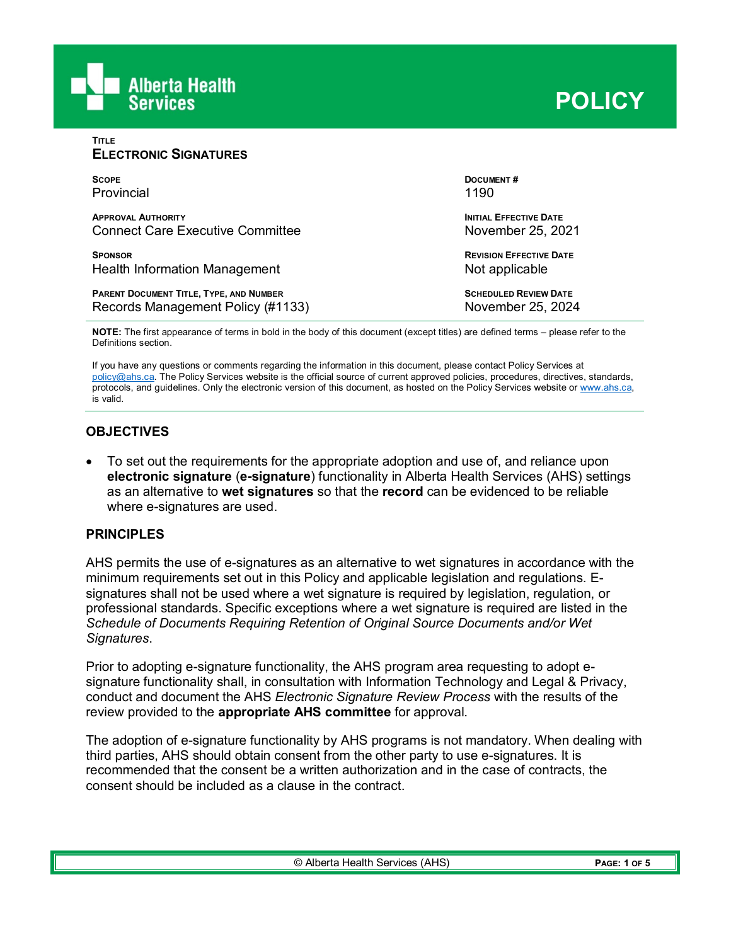

**TITLE**

| <b>ELECTRONIC SIGNATURES</b>                   |                                |  |  |  |  |  |  |
|------------------------------------------------|--------------------------------|--|--|--|--|--|--|
| <b>SCOPE</b>                                   | <b>DOCUMENT#</b>               |  |  |  |  |  |  |
| Provincial                                     | 1190                           |  |  |  |  |  |  |
| <b>APPROVAL AUTHORITY</b>                      | <b>INITIAL EFFECTIVE DATE</b>  |  |  |  |  |  |  |
| <b>Connect Care Executive Committee</b>        | November 25, 2021              |  |  |  |  |  |  |
| <b>SPONSOR</b>                                 | <b>REVISION EFFECTIVE DATE</b> |  |  |  |  |  |  |
| Health Information Management                  | Not applicable                 |  |  |  |  |  |  |
| <b>PARENT DOCUMENT TITLE, TYPE, AND NUMBER</b> | <b>SCHEDULED REVIEW DATE</b>   |  |  |  |  |  |  |
| Records Management Policy (#1133)              | November 25, 2024              |  |  |  |  |  |  |

**NOTE:** The first appearance of terms in bold in the body of this document (except titles) are defined terms – please refer to the Definitions section.

If you have any questions or comments regarding the information in this document, please contact Policy Services at [policy@ahs.ca.](mailto:policy@ahs.ca) The Policy Services website is the official source of current approved policies, procedures, directives, standards, protocols, and guidelines. Only the electronic version of this document, as hosted on the Policy Services website or [www.ahs.ca,](http://www.ahs.ca/)  is valid.

# **OBJECTIVES**

• To set out the requirements for the appropriate adoption and use of, and reliance upon **electronic signature** (**e-signature**) functionality in Alberta Health Services (AHS) settings as an alternative to **wet signatures** so that the **record** can be evidenced to be reliable where e-signatures are used.

#### **PRINCIPLES**

AHS permits the use of e-signatures as an alternative to wet signatures in accordance with the minimum requirements set out in this Policy and applicable legislation and regulations. Esignatures shall not be used where a wet signature is required by legislation, regulation, or professional standards. Specific exceptions where a wet signature is required are listed in the *Schedule of Documents Requiring Retention of Original Source Documents and/or Wet Signatures*.

Prior to adopting e-signature functionality, the AHS program area requesting to adopt esignature functionality shall, in consultation with Information Technology and Legal & Privacy, conduct and document the AHS *Electronic Signature Review Process* with the results of the review provided to the **appropriate AHS committee** for approval.

The adoption of e-signature functionality by AHS programs is not mandatory. When dealing with third parties, AHS should obtain consent from the other party to use e-signatures. It is recommended that the consent be a written authorization and in the case of contracts, the consent should be included as a clause in the contract.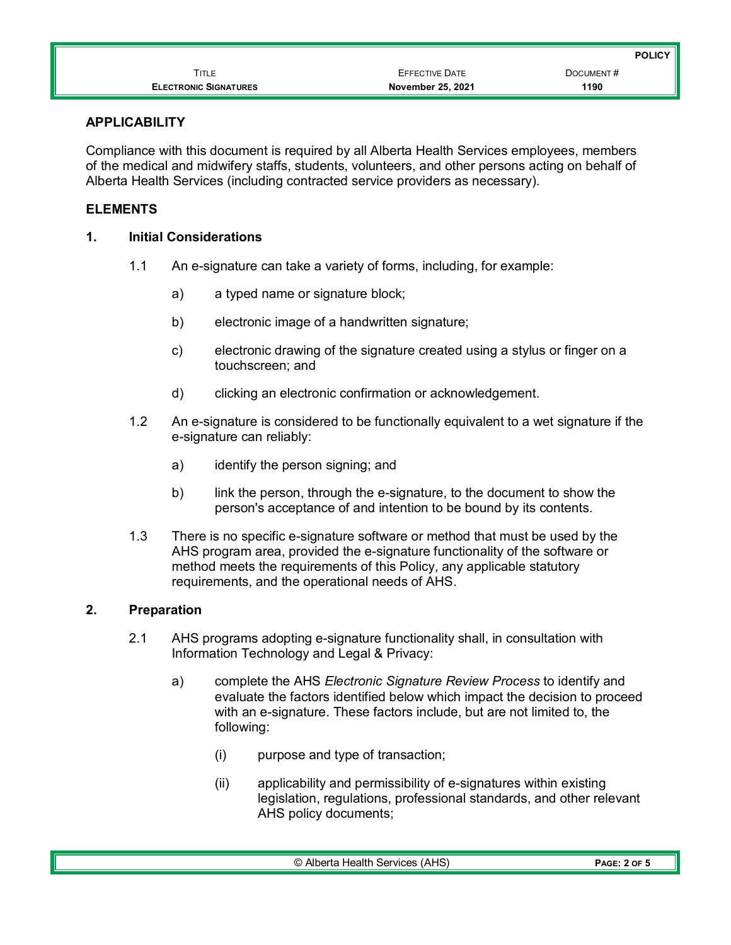|                              |                          | <b>POLICY</b> |
|------------------------------|--------------------------|---------------|
| TITLE                        | EFFECTIVE DATE           | DOCUMENT#     |
| <b>ELECTRONIC SIGNATURES</b> | <b>November 25, 2021</b> | 1190          |

#### **APPLICABILITY**

Compliance with this document is required by all Alberta Health Services employees, members of the medical and midwifery staffs, students, volunteers, and other persons acting on behalf of Alberta Health Services (including contracted service providers as necessary).

# **ELEMENTS**

#### **1. Initial Considerations**

- 1.1 An e-signature can take a variety of forms, including, for example:
	- a) a typed name or signature block;
	- b) electronic image of a handwritten signature;
	- c) electronic drawing of the signature created using a stylus or finger on a touchscreen; and
	- d) clicking an electronic confirmation or acknowledgement.
- 1.2 An e-signature is considered to be functionally equivalent to a wet signature if the e-signature can reliably:
	- a) identify the person signing; and
	- b) link the person, through the e-signature, to the document to show the person's acceptance of and intention to be bound by its contents.
- 1.3 There is no specific e-signature software or method that must be used by the AHS program area, provided the e-signature functionality of the software or method meets the requirements of this Policy, any applicable statutory requirements, and the operational needs of AHS.

# **2. Preparation**

- 2.1 AHS programs adopting e-signature functionality shall, in consultation with Information Technology and Legal & Privacy:
	- a) complete the AHS *Electronic Signature Review Process* to identify and evaluate the factors identified below which impact the decision to proceed with an e-signature. These factors include, but are not limited to, the following:
		- (i) purpose and type of transaction;
		- (ii) applicability and permissibility of e-signatures within existing legislation, regulations, professional standards, and other relevant AHS policy documents;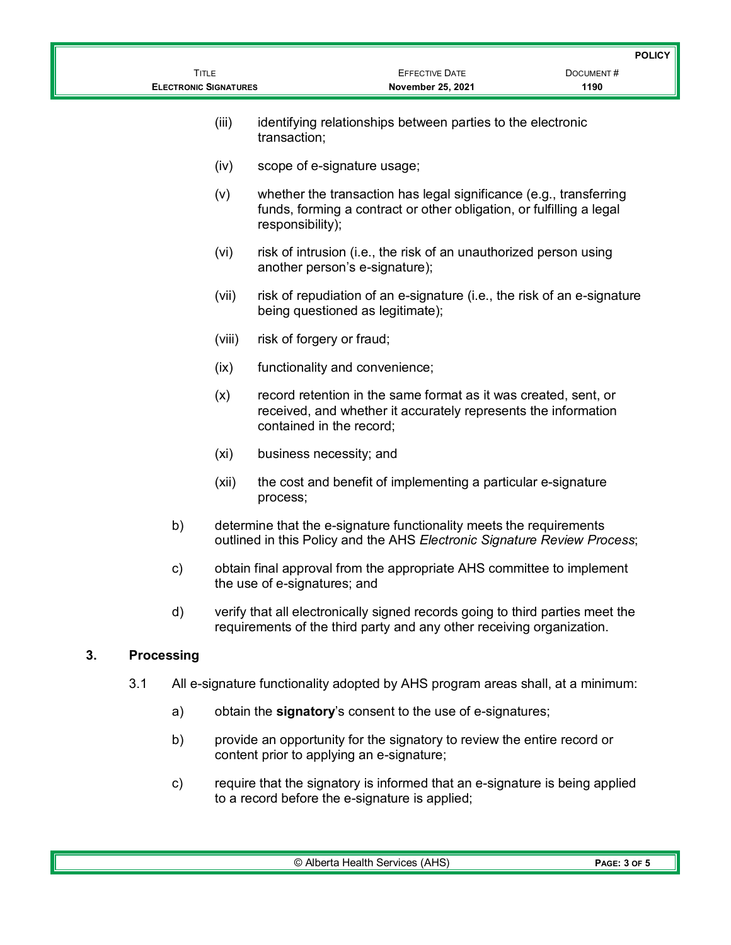|    |                   |                                              |                                                                                                                                               |                                                |                                                                                                                                                        | <b>POLICY</b>     |
|----|-------------------|----------------------------------------------|-----------------------------------------------------------------------------------------------------------------------------------------------|------------------------------------------------|--------------------------------------------------------------------------------------------------------------------------------------------------------|-------------------|
|    |                   | <b>TITLE</b><br><b>ELECTRONIC SIGNATURES</b> |                                                                                                                                               |                                                | <b>EFFECTIVE DATE</b><br>November 25, 2021                                                                                                             | DOCUMENT#<br>1190 |
|    |                   |                                              | (iii)                                                                                                                                         | transaction;                                   | identifying relationships between parties to the electronic                                                                                            |                   |
|    |                   |                                              | (iv)                                                                                                                                          | scope of e-signature usage;                    |                                                                                                                                                        |                   |
|    |                   |                                              | (v)                                                                                                                                           | responsibility);                               | whether the transaction has legal significance (e.g., transferring<br>funds, forming a contract or other obligation, or fulfilling a legal             |                   |
|    |                   |                                              | (vi)                                                                                                                                          | another person's e-signature);                 | risk of intrusion (i.e., the risk of an unauthorized person using                                                                                      |                   |
|    |                   |                                              | (vii)                                                                                                                                         | being questioned as legitimate);               | risk of repudiation of an e-signature (i.e., the risk of an e-signature                                                                                |                   |
|    |                   |                                              | (viii)                                                                                                                                        | risk of forgery or fraud;                      |                                                                                                                                                        |                   |
|    |                   |                                              | (ix)                                                                                                                                          | functionality and convenience;                 |                                                                                                                                                        |                   |
|    |                   |                                              | (x)                                                                                                                                           | contained in the record;                       | record retention in the same format as it was created, sent, or<br>received, and whether it accurately represents the information                      |                   |
|    |                   |                                              | (xi)                                                                                                                                          | business necessity; and                        |                                                                                                                                                        |                   |
|    |                   |                                              | (xii)                                                                                                                                         | process;                                       | the cost and benefit of implementing a particular e-signature                                                                                          |                   |
|    |                   | b)                                           |                                                                                                                                               |                                                | determine that the e-signature functionality meets the requirements<br>outlined in this Policy and the AHS Electronic Signature Review Process;        |                   |
|    |                   | c)                                           | obtain final approval from the appropriate AHS committee to implement<br>the use of e-signatures; and                                         |                                                |                                                                                                                                                        |                   |
|    |                   | d)                                           |                                                                                                                                               |                                                | verify that all electronically signed records going to third parties meet the<br>requirements of the third party and any other receiving organization. |                   |
| 3. | <b>Processing</b> |                                              |                                                                                                                                               |                                                |                                                                                                                                                        |                   |
|    | 3.1               |                                              | All e-signature functionality adopted by AHS program areas shall, at a minimum:<br>obtain the signatory's consent to the use of e-signatures; |                                                |                                                                                                                                                        |                   |
|    |                   | a)                                           |                                                                                                                                               |                                                |                                                                                                                                                        |                   |
|    |                   | b)                                           |                                                                                                                                               | content prior to applying an e-signature;      | provide an opportunity for the signatory to review the entire record or                                                                                |                   |
|    |                   | c)                                           |                                                                                                                                               | to a record before the e-signature is applied; | require that the signatory is informed that an e-signature is being applied                                                                            |                   |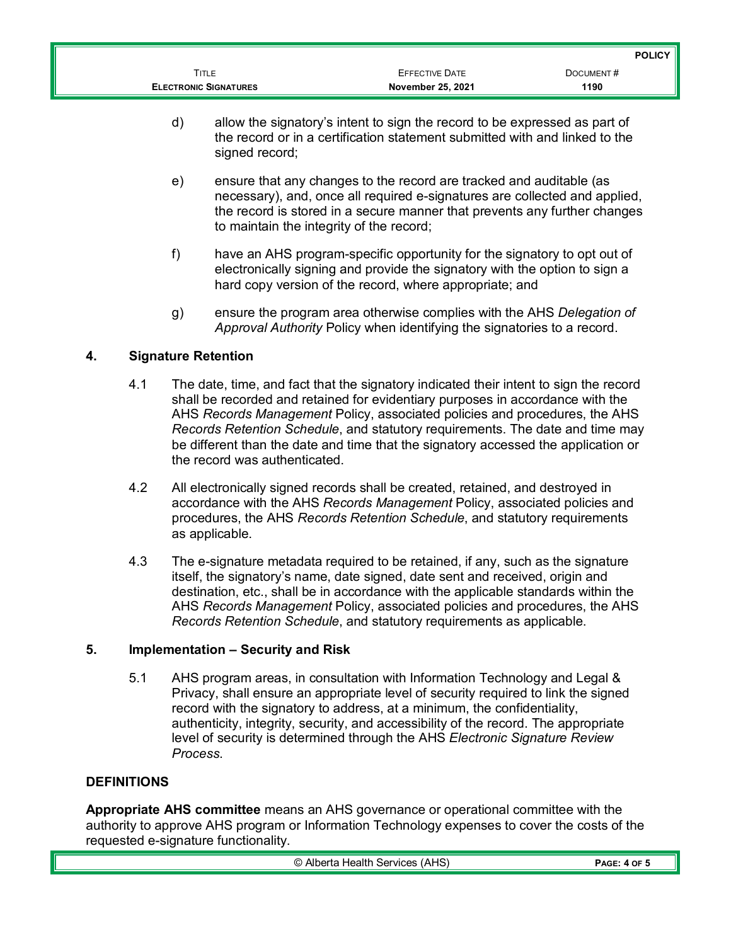|                              |                       | <b>POLICY</b> |
|------------------------------|-----------------------|---------------|
| TITLE                        | <b>EFFECTIVE DATE</b> | DOCUMENT#     |
| <b>ELECTRONIC SIGNATURES</b> | November 25, 2021     | 1190          |

- d) allow the signatory's intent to sign the record to be expressed as part of the record or in a certification statement submitted with and linked to the signed record;
- e) ensure that any changes to the record are tracked and auditable (as necessary), and, once all required e-signatures are collected and applied, the record is stored in a secure manner that prevents any further changes to maintain the integrity of the record;
- f) have an AHS program-specific opportunity for the signatory to opt out of electronically signing and provide the signatory with the option to sign a hard copy version of the record, where appropriate; and
- g) ensure the program area otherwise complies with the AHS *Delegation of Approval Authority* Policy when identifying the signatories to a record.

# **4. Signature Retention**

- 4.1 The date, time, and fact that the signatory indicated their intent to sign the record shall be recorded and retained for evidentiary purposes in accordance with the AHS *Records Management* Policy, associated policies and procedures, the AHS *Records Retention Schedule*, and statutory requirements. The date and time may be different than the date and time that the signatory accessed the application or the record was authenticated.
- 4.2 All electronically signed records shall be created, retained, and destroyed in accordance with the AHS *Records Management* Policy, associated policies and procedures, the AHS *Records Retention Schedule*, and statutory requirements as applicable.
- 4.3 The e-signature metadata required to be retained, if any, such as the signature itself, the signatory's name, date signed, date sent and received, origin and destination, etc., shall be in accordance with the applicable standards within the AHS *Records Management* Policy, associated policies and procedures, the AHS *Records Retention Schedule*, and statutory requirements as applicable.

# **5. Implementation – Security and Risk**

5.1 AHS program areas, in consultation with Information Technology and Legal & Privacy, shall ensure an appropriate level of security required to link the signed record with the signatory to address, at a minimum, the confidentiality, authenticity, integrity, security, and accessibility of the record. The appropriate level of security is determined through the AHS *Electronic Signature Review Process*.

# **DEFINITIONS**

**Appropriate AHS committee** means an AHS governance or operational committee with the authority to approve AHS program or Information Technology expenses to cover the costs of the requested e-signature functionality.